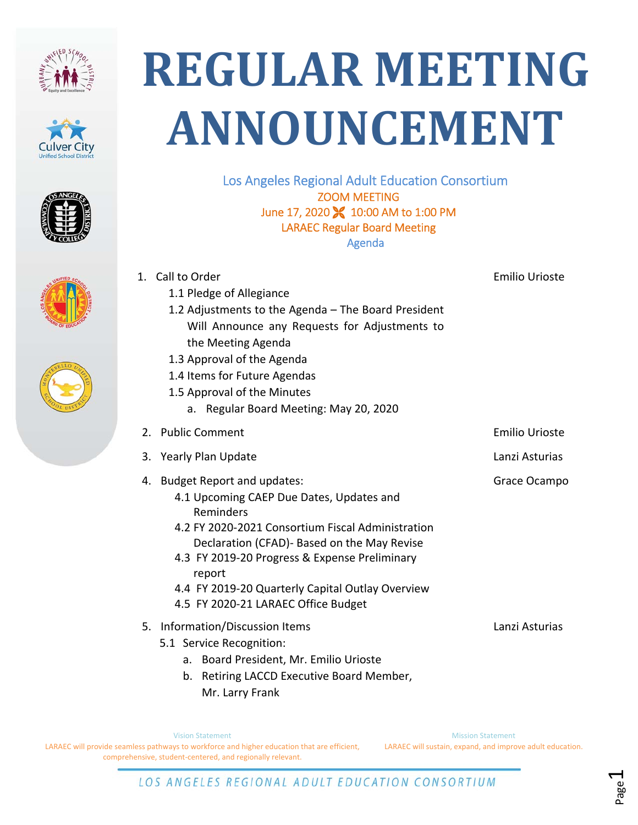









## **REGULAR MEETING ANNOUNCEMENT**

Los Angeles Regional Adult Education Consortium ZOOM MEETING June 17, 2020 **X** 10:00 AM to 1:00 PM LARAEC Regular Board Meeting Agenda

|    | 1. Call to Order                                           | <b>Emilio Urioste</b> |
|----|------------------------------------------------------------|-----------------------|
|    | 1.1 Pledge of Allegiance                                   |                       |
|    | 1.2 Adjustments to the Agenda - The Board President        |                       |
|    | Will Announce any Requests for Adjustments to              |                       |
|    | the Meeting Agenda                                         |                       |
|    | 1.3 Approval of the Agenda                                 |                       |
|    | 1.4 Items for Future Agendas                               |                       |
|    | 1.5 Approval of the Minutes                                |                       |
|    | a. Regular Board Meeting: May 20, 2020                     |                       |
|    | 2. Public Comment                                          | <b>Emilio Urioste</b> |
|    | 3. Yearly Plan Update                                      | Lanzi Asturias        |
|    | 4. Budget Report and updates:                              | Grace Ocampo          |
|    | 4.1 Upcoming CAEP Due Dates, Updates and                   |                       |
|    | Reminders                                                  |                       |
|    | 4.2 FY 2020-2021 Consortium Fiscal Administration          |                       |
|    | Declaration (CFAD)- Based on the May Revise                |                       |
|    | 4.3 FY 2019-20 Progress & Expense Preliminary              |                       |
|    | report<br>4.4 FY 2019-20 Quarterly Capital Outlay Overview |                       |
|    | 4.5 FY 2020-21 LARAEC Office Budget                        |                       |
|    |                                                            |                       |
| 5. | Information/Discussion Items                               | Lanzi Asturias        |
|    | 5.1 Service Recognition:                                   |                       |
|    | Board President, Mr. Emilio Urioste<br>a.                  |                       |
|    | Retiring LACCD Executive Board Member,<br>b.               |                       |

Vision Statement LARAEC will provide seamless pathways to workforce and higher education that are efficient, comprehensive, student‐centered, and regionally relevant.

Mr. Larry Frank

Mission Statement LARAEC will sustain, expand, and improve adult education.